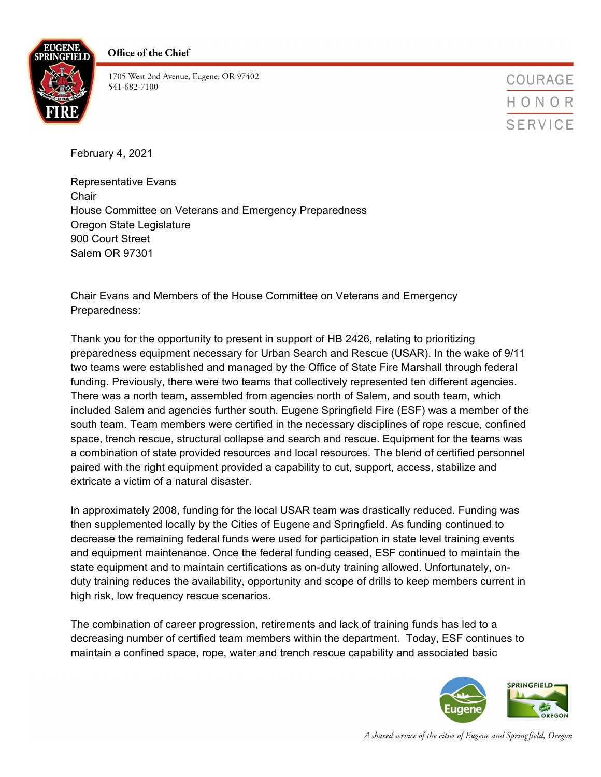



1705 West 2nd Avenue, Eugene, OR 97402 541-682-7100

COURAGE HONOR **SERVICE** 

February 4, 2021

Representative Evans **Chair** House Committee on Veterans and Emergency Preparedness Oregon State Legislature 900 Court Street Salem OR 97301

Chair Evans and Members of the House Committee on Veterans and Emergency Preparedness:

Thank you for the opportunity to present in support of HB 2426, relating to prioritizing preparedness equipment necessary for Urban Search and Rescue (USAR). In the wake of 9/11 two teams were established and managed by the Office of State Fire Marshall through federal funding. Previously, there were two teams that collectively represented ten different agencies. There was a north team, assembled from agencies north of Salem, and south team, which included Salem and agencies further south. Eugene Springfield Fire (ESF) was a member of the south team. Team members were certified in the necessary disciplines of rope rescue, confined space, trench rescue, structural collapse and search and rescue. Equipment for the teams was a combination of state provided resources and local resources. The blend of certified personnel paired with the right equipment provided a capability to cut, support, access, stabilize and extricate a victim of a natural disaster.

In approximately 2008, funding for the local USAR team was drastically reduced. Funding was then supplemented locally by the Cities of Eugene and Springfield. As funding continued to decrease the remaining federal funds were used for participation in state level training events and equipment maintenance. Once the federal funding ceased, ESF continued to maintain the state equipment and to maintain certifications as on-duty training allowed. Unfortunately, onduty training reduces the availability, opportunity and scope of drills to keep members current in high risk, low frequency rescue scenarios.

The combination of career progression, retirements and lack of training funds has led to a decreasing number of certified team members within the department. Today, ESF continues to maintain a confined space, rope, water and trench rescue capability and associated basic



A shared service of the cities of Eugene and Springfield, Oregon